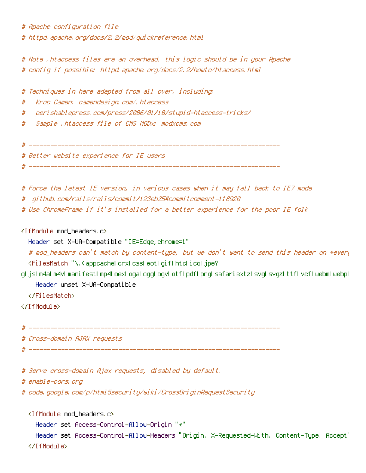# Apache configuration file # httpd.apache.org/docs/2.2/mod/quickreference.html

# Note .htaccess files are an overhead, this logic should be in your Apache # config if possible: httpd.apache.org/docs/2.2/howto/htaccess.html

# Techniques in here adapted from all over, including:

- # Kroc Camen: camendesign.com/.htaccess
- # perishablepress.com/press/2006/01/10/stupid-htaccess-tricks/
- # Sample .htaccess file of CMS MODx: modxcms.com

```
# ----------------------------------------------------------------------
```
# Better website experience for IE users

# ----------------------------------------------------------------------

- # Force the latest IE version, in various cases when it may fall back to IE7 mode
- # github.com/rails/rails/commit/123eb25#commitcomment-118920
- # Use ChromeFrame if it's installed for <sup>a</sup> better experience for the poor IE folk

<IfModule mod\_headers.c>

Header set X-UA-Compatible "IE=Edge,chrome=1"

# mod\_headers can't match by content-type, but we don't want to send this header on \*every <FilesMatch "\.(appcache|crx|css|eot|gif|htc|ico|jpe?

g|js|m4a|m4v|manifest|mp4|oex|oga|ogg|ogv|otf|pdf|png|safariextz|svg|svgz|ttf|vcf|webm|webp| Header unset X-UA-Compatible

</FilesMatch>

</IfModule>

# ----------------------------------------------------------------------

# Cross-domain AJAX requests

# ----------------------------------------------------------------------

- # Serve cross-domain Ajax requests, disabled by default.
- # enable-cors.org

# code.google.com/p/html5security/wiki/CrossOriginRequestSecurity

```
<IfModule mod_headers.c>
  Header set Access-Control-Allow-Origin "*"
  Header set Access-Control-Allow-Headers "Origin, X-Requested-With, Content-Type, Accept"
</IfModule>
```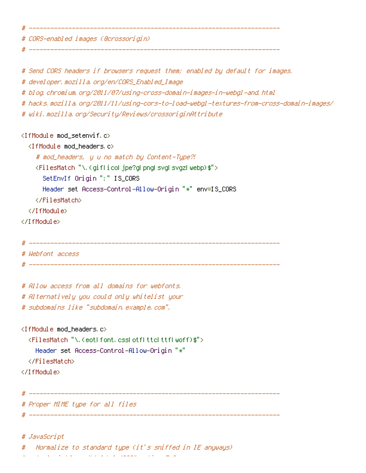# CORS-enabled images (@crossorigin)

# ----------------------------------------------------------------------

# ----------------------------------------------------------------------

# Send CORS headers if browsers request them; enabled by default for images.

# developer.mozilla.org/en/CORS\_Enabled\_Image

# blog.chromium.org/2011/07/using-cross-domain-images-in-webgl-and.html

# hacks.mozilla.org/2011/11/using-cors-to-load-webgl-textures-from-cross-domain-images/

# wiki.mozilla.org/Security/Reviews/crossoriginAttribute

#### <IfModule mod\_setenvif.c>

<IfModule mod\_headers.c>

# mod\_headers, y <sup>u</sup> no match by Content-Type?!

<FilesMatch "\.(gif|ico|jpe?g|png|svg|svgz|webp)\$">

SetEnvIf Origin ":" IS\_CORS

Header set Access-Control-Allow-Origin "\*" env=IS\_CORS

</FilesMatch>

</IfModule>

</IfModule>

```
# ----------------------------------------------------------------------
```
# Webfont access

# ----------------------------------------------------------------------

# Allow access from all domains for webfonts. # Alternatively you could only whitelist your

# subdomains like "subdomain.example.com".

<IfModule mod\_headers.c>

<FilesMatch "\.(eot|font.css|otf|ttc|ttf|woff)\$"> Header set Access-Control-Allow-Origin "\*"

</FilesMatch>

</IfModule>

# Proper MIME type for all files

#### # JavaScript

. Normalize to standard type (it's sniffed in IE anyways)

# ----------------------------------------------------------------------

# ----------------------------------------------------------------------

 $\mathcal{F}$  to the first section  $\mathcal{F}$  section  $\mathcal{F}$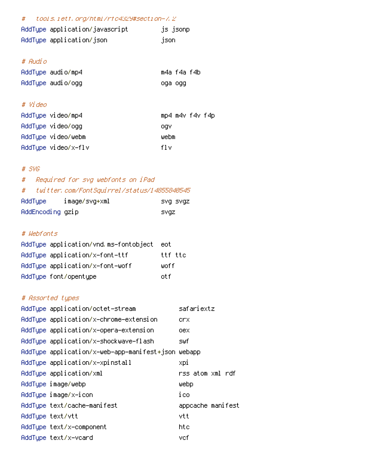# # tools.ietf.org/html/rfc4329#section-7.2

| AddType application/javascript | js jsonp |
|--------------------------------|----------|
| AddType application/json       | tison.   |

## # Audio

| AddTupe audio/mp4 | m4a f4a f4b |  |
|-------------------|-------------|--|
| AddTupe audio/ogg | oga ogg     |  |

# # Video

| AddTupe video/mp4   | mp4 m4v f4v f4p |
|---------------------|-----------------|
| AddTupe video/ogg   | oav             |
| AddTupe video/webm  | webm            |
| AddType video/x-flv | fl v            |

### # SVG

# # Required for svg webfonts on iPad # twitter.com/FontSquirrel/status/14855840545 AddType image/svg+xml svg svgz

| nuu i ypol       | TWOde, SAdiyw | pry pry |  |
|------------------|---------------|---------|--|
| AddEncoding gzip |               | svaz    |  |

# # Webfonts

| AddTupe application/vnd.ms-fontobject | eot.    |
|---------------------------------------|---------|
| AddTupe application/x-font-ttf        | ttf ttc |
| AddTupe application/x-font-woff       | woff    |
| AddType font/opentype                 | nt f    |

# # Assorted types

| AddTupe application/octet-stream                   | safariextz        |
|----------------------------------------------------|-------------------|
| AddType application/x-chrome-extension             | crx               |
| AddTupe application/x-opera-extension              | oex               |
| AddType application/x-shockwave-flash              | swfi              |
| AddType application/x-web-app-manifest+json webapp |                   |
| AddType application/x-xpinstall                    | xpi               |
| AddTupe application/xml                            | rss atom xml rdf  |
| AddTupe image/webp                                 | webp              |
| AddType image/x-icon                               | ico               |
| AddTupe text/cache-manifest                        | appcache manifest |
| AddTupe text/vtt                                   | vtt               |
| AddTupe text/x-component                           | htc               |
| AddTupe text/x-vcard                               | vef               |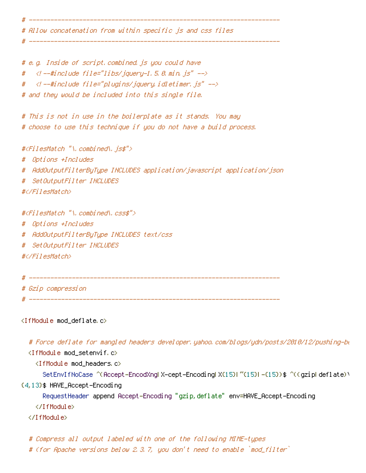# Allow concatenation from within specific js and css files

# ----------------------------------------------------------------------

# ----------------------------------------------------------------------

# e.g. Inside of script.combined.js you could have # <!--#include file="libs/jquery-1.5.0.min.js" --> # <!--#include file="plugins/jquery.idletimer.js" --> # and they would be included into this single file.

# This is not in use in the boilerplate as it stands. You may # choose to use this technique if you do not have <sup>a</sup> build process.

#<FilesMatch "\.combined\.js\$">

# Options +Includes

# AddOutputFilterByType INCLUDES application/javascript application/json

# SetOutputFilter INCLUDES

#</FilesMatch>

#<FilesMatch "\.combined\.css\$"> # Options +Includes # AddOutputFilterByType INCLUDES text/css # SetOutputFilter INCLUDES #</FilesMatch>

# ----------------------------------------------------------------------

# Gzip compression

# ----------------------------------------------------------------------

<IfModule mod\_deflate.c>

# Force deflate for mangled headers developer.yahoo.com/blogs/ydn/posts/2010/12/pushing-be

<IfModule mod\_setenvif.c>

<IfModule mod\_headers.c>

SetEnvIfNoCase ^(Accept-EncodXng|X-cept-Encoding|X{15}|~{15}|-{15})\$ ^((gzip|deflate)\

{4,13}\$ HAVE\_Accept-Encoding

RequestHeader append Accept-Encoding "gzip,deflate" env=HAVE\_Accept-Encoding

</IfModule>

</IfModule>

# Compress all output labeled with one of the following MIME-types

# (for Apache versions below 2.3.7, you don't need to enable `mod\_filter`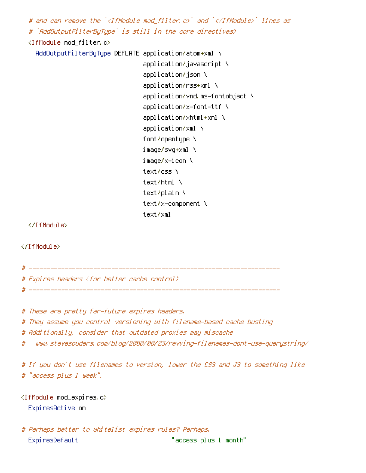# and can remove the `<IfModule mod filter.c>` and `</IfModule>` lines as # `AddOutputFilterByType` is still in the core directives) <IfModule mod\_filter.c> AddOutputFilterByType DEFLATE application/atom+xml \ application/javascript \ application/json \ application/rss+xml \ application/vnd.ms-fontobject \ application/x-font-ttf \

> application/xhtml+xml  $\lambda$ application/xml \ font/opentype \ image/svg+xml \ image/x-icon \ text/css \ text/html \ text/plain \ text/x-component \ text/xml

</IfModule>

</IfModule>

# ---------------------------------------------------------------------- # Expires headers (for better cache control) # ----------------------------------------------------------------------

# These are pretty far-future expires headers.

# They assume you control versioning with filename-based cache busting

# Additionally, consider that outdated proxies may miscache

# www.stevesouders.com/blog/2008/08/23/revving-filenames-dont-use-querystring/

# If you don't use filenames to version, lower the CSS and JS to something like # "access plus 1 week".

<IfModule mod\_expires.c> ExpiresActive on

# Perhaps better to whitelist expires rules? Perhaps. ExpiresDefault "access plus 1 month"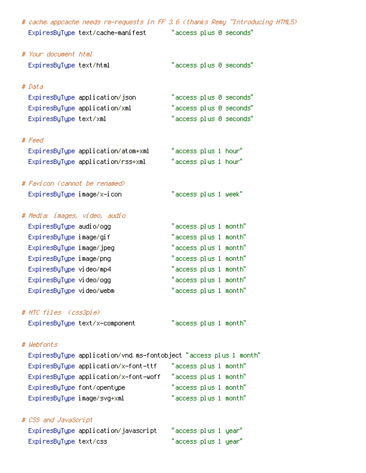| # cache appcache needs re-requests in FF 3.6 (thanks Remy ~Introducing HTML5) |                         |
|-------------------------------------------------------------------------------|-------------------------|
| ExpiresByType text/cache-manifest "access plus 0 seconds"                     |                         |
|                                                                               |                         |
| # Your document html                                                          |                         |
| ExpiresByType text/html                                                       | "access plus 0 seconds" |
|                                                                               |                         |
| # Data                                                                        |                         |
| ExpiresByType application/json                                                | "access plus 0 seconds" |
| ExpiresByType application/xml                                                 | "access plus 0 seconds" |
| ExpiresByType text/xml                                                        | "access plus 0 seconds" |
|                                                                               |                         |
| # Feed                                                                        |                         |
| ExpiresByType application/atom+xml                                            | "access plus 1 hour"    |
| ExpiresByType application/rss+xml                                             | "access plus 1 hour"    |
| # Favicon (cannot be renamed)                                                 |                         |
| ExpiresByType image/x-icon                                                    | "access plus 1 week"    |
|                                                                               |                         |
| # Media: images, video, audio                                                 |                         |
| Expi resByType audio/ogg                                                      | "access plus 1 month"   |
| ExpiresByType image/gif                                                       | "access plus 1 month"   |
| ExpiresByType image/jpeg                                                      | "access plus 1 month"   |
| ExpiresByType image/png                                                       | "access plus 1 month"   |
| ExpiresByType video/mp4                                                       | "access plus 1 month"   |
| ExpiresByType video/ogg                                                       | "access plus 1 month"   |
| ExpiresByType video/webm                                                      | "access plus 1 month"   |
|                                                                               |                         |
| # HTC files (css3pie)                                                         |                         |
| ExpiresByType text/x-component                                                | "access plus 1 month"   |
| # Webfonts                                                                    |                         |
| ExpiresByType application/vnd.ms-fontobject "access plus 1 month"             |                         |
| ExpiresByType application/x-font-ttf                                          | "access plus 1 month"   |
| ExpiresByType application/x–font–woff                                         | "access plus 1 month"   |
| ExpiresByType font/opentype                                                   | "access plus 1 month"   |
| ExpiresByType image/svg+xml                                                   | "access plus 1 month"   |
|                                                                               |                         |
| # CSS and JavaScript                                                          |                         |
| ExpiresByType application/javascript                                          | "access plus 1 year"    |
| ExpiresByType text/css                                                        | "access plus 1 year"    |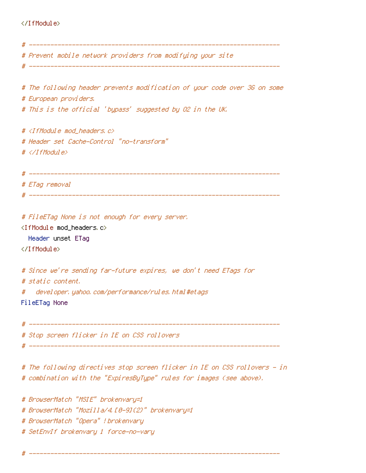#### </IfModule>

```
# ----------------------------------------------------------------------
# Prevent mobile network providers from modifying your site
 # ----------------------------------------------------------------------
# The following header prevents modification of your code over 3G on some
# European providers.
# This is the official 'bypass' suggested by O2 in the UK.
# <IfModule mod headers, c>
# Header set Cache-Control "no-transform"
# </IfModule>
# ----------------------------------------------------------------------
# ETag removal
 # ----------------------------------------------------------------------
# FileETag None is not enough for every server.
<IfModule mod_headers.c>
  Header unset ETag
</IfModule>
# Since we're sending far-future expires, we don't need ETags for
# static content.
# developer.yahoo.com/performance/rules.html#etags
FileETag None
# ----------------------------------------------------------------------
# Stop screen flicker in IE on CSS rollovers
# ----------------------------------------------------------------------
```
# The following directives stop screen flicker in IE on CSS rollovers - in # combination with the "ExpiresByType" rules for images (see above).

# BrowserMatch "MSIE" brokenvary=1 # BrowserMatch "Mozilla/4.[0-9]{2}" brokenvary=1 # BrowserMatch "Opera" !brokenvary # SetEnvIf brokenvary 1 force-no-vary

# ----------------------------------------------------------------------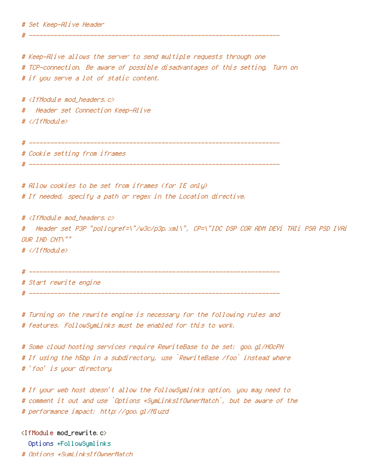# Set Keep-Alive Header

# Keep-Alive allows the server to send multiple requests through one # TCP-connection. Be aware of possible disadvantages of this setting. Turn on # if you serve <sup>a</sup> lot of static content.

 $#$  <IfModule mod headers,  $c$ > # Header set Connection Keep-Alive # </IfModule>

# ----------------------------------------------------------------------

# Cookie setting from iframes

# ----------------------------------------------------------------------

# Allow cookies to be set from iframes (for IE only) # If needed, specify <sup>a</sup> path or regex in the Location directive.

# ----------------------------------------------------------------------

# <IfModule mod\_headers.c> # Header set P3P "policyref=\"/w3c/p3p.xml\", CP=\"IDC DSP COR ADM DEVi TAIi PSA PSD IVAi OUR IND CNT\"" # </IfModule>

```
# ----------------------------------------------------------------------
```
# Start rewrite engine

# ----------------------------------------------------------------------

# Turning on the rewrite engine is necessary for the following rules and # features. FollowSymLinks must be enabled for this to work.

# Some cloud hosting services require RewriteBase to be set: goo.gl/HOcPN # If using the h5bp in <sup>a</sup> subdirectory, use `RewriteBase /foo` instead where # 'foo' is your directory.

# If your web host doesn't allow the FollowSymlinks option, you may need to # comment it out and use `Options +SymLinksIfOwnerMatch`, but be aware of the # performance impact: http://goo.gl/Mluzd

<IfModule mod\_rewrite.c> Options +FollowSymlinks # Options +SymLinksIfOwnerMatch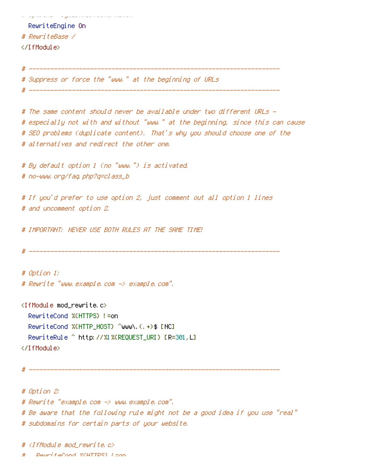# Options +SymLinksIfOwnerMatch RewriteEngine On # RewriteBase / </IfModule> # ---------------------------------------------------------------------- # Suppress or force the "www." at the beginning of URLs # ---------------------------------------------------------------------- # The same content should never be available under two different URLs - # especially not with and without "www." at the beginning, since this can cause # SEO problems (duplicate content). That's why you should choose one of the # alternatives and redirect the other one. # By default option 1 (no "www.") is activated. # no-www.org/faq.php?q=class\_b # If you'd prefer to use option 2, just comment out all option 1 lines # and uncomment option 2. # IMPORTANT: NEVER USE BOTH RULES AT THE SAME TIME! # ---------------------------------------------------------------------- # Option 1: # Rewrite "www.example.com -> example.com". <IfModule mod\_rewrite.c> RewriteCond %{HTTPS} !=on RewriteCond %{HTTP\_HOST} ^www\.(.+)\$ [NC] RewriteRule ^ http://%1%{REQUEST\_URI} [R=301,L] </IfModule> # ---------------------------------------------------------------------- # Option 2: # Rewrite "example.com -> www.example.com". # Be aware that the following rule might not be <sup>a</sup> good idea if you use "real"

# subdomains for certain parts of your website.

# <IfModule mod\_rewrite.c>

# RewriteCond %{HTTPS} !=on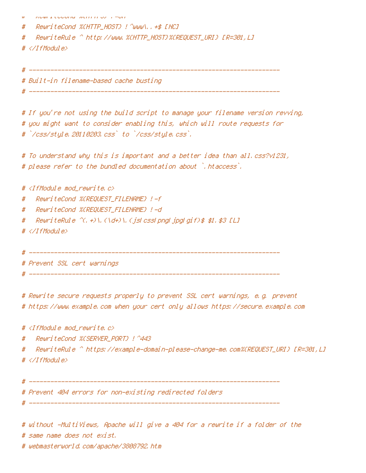| $^{\ast}$ | RGWLILGGUND WENTEDJ F-UN                  |
|-----------|-------------------------------------------|
| #         | ReuriteCond %CHTTP_HOST} ! ^www\ +\$ [NC] |
| #         |                                           |
|           | #                                         |
|           |                                           |

# ----------------------------------------------------------------------

# ----------------------------------------------------------------------

# Built-in filename-based cache busting

# If you're not using the build script to manage your filename version revving, # you might want to consider enabling this, which will route requests for # `/css/style.20110203.css` to `/css/style.css`.

# To understand why this is important and <sup>a</sup> better idea than all.css?v1231, # please refer to the bundled documentation about `.htaccess`.

#  $\triangleleft$  fModule mod rewrite.c>

- # RewriteCond %{REQUEST\_FILENAME} !-f
- # RewriteCond %{REQUEST\_FILENAME} !-d
- # RewriteRule ^(, +)\.(\d+)\.(js|css|png|jpg|gif)\$ \$1.\$3 [L]
- # </IfModule>
- # ----------------------------------------------------------------------

# Prevent SSL cert warnings

# ----------------------------------------------------------------------

# Rewrite secure requests properly to prevent SSL cert warnings, e.g. prevent # https://www.example.com when your cert only allows https://secure.example.com

#  $\triangleleft$  fModule mod rewrite.c>

# RewriteCond %{SERVER\_PORT} !^443

# RewriteRule ^ https://example-domain-please-change-me.com%{REQUEST\_URI} [R=301,L] # </IfModule>

# ----------------------------------------------------------------------

# ----------------------------------------------------------------------

# Prevent 404 errors for non-existing redirected folders

# without -MultiViews, Apache will give <sup>a</sup> 404 for <sup>a</sup> rewrite if <sup>a</sup> folder of the # same name does not exist.

# webmasterworld.com/apache/3808792.htm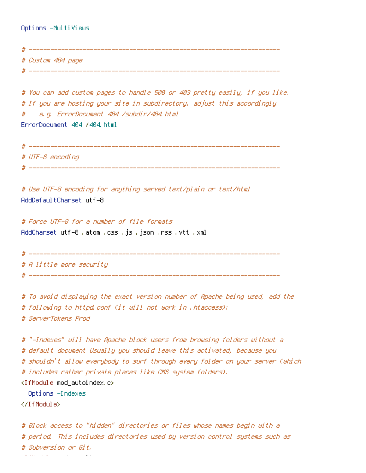Options -MultiViews

# ---------------------------------------------------------------------- # Custom 404 page # ----------------------------------------------------------------------

# You can add custom pages to handle 500 or 403 pretty easily, if you like. # If you are hosting your site in subdirectory, adjust this accordingly # e.g. ErrorDocument 404 /subdir/404.html ErrorDocument 404 /404.html

# ---------------------------------------------------------------------- # UTF-8 encoding # ----------------------------------------------------------------------

# Use UTF-8 encoding for anything served text/plain or text/html AddDefaultCharset utf-8

# Force UTF-8 for <sup>a</sup> number of file formats AddCharset utf-8 .atom .css .js .json .rss .vtt .xml

# ----------------------------------------------------------------------

# ----------------------------------------------------------------------

# A little more security

# To avoid displaying the exact version number of Apache being used, add the # following to httpd.conf (it will not work in .htaccess): # ServerTokens Prod

# "-Indexes" will have Apache block users from browsing folders without <sup>a</sup> # default document Usually you should leave this activated, because you # shouldn't allow everybody to surf through every folder on your server (which # includes rather private places like CMS system folders).

<IfModule mod\_autoindex.c>

Options -Indexes

</IfModule>

# Block access to "hidden" directories or files whose names begin with <sup>a</sup> # period. This includes directories used by version control systems such as # Subversion or Git. <IfModule mod\_rewrite.c>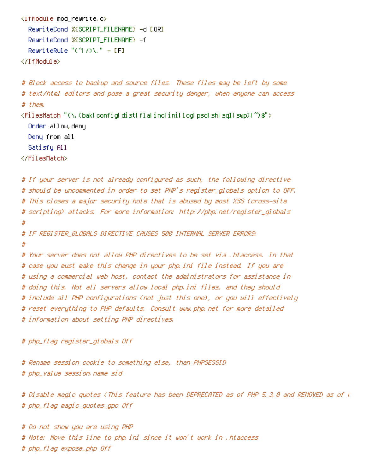```
<IfModule mod_rewrite.c>
  RewriteCond %{SCRIPT_FILENAME} -d [OR]
  RewriteCond %{SCRIPT_FILENAME} -f
  RewriteRule "(^{\circ}|/)\." - [F]
</IfModule>
```

```
# Block access to backup and source files. These files may be left by some
# text/html editors and pose a great security danger, when anyone can access
# them.
<FilesMatch "(\.(bak|config|dist|fla|inc|ini|log|psd|sh|sql|swp)|~)$">
  Order allow,deny
  Deny from all
  Satisfy All
</FilesMatch>
```

```
# If your server is not already configured as such, the following directive
# should be uncommented in order to set PHP's register_globals option to OFF.
# This closes a major security hole that is abused by most XSS (cross-site
# scripting) attacks. For more information: http://php.net/register_globals
#
# IF REGISTER_GLOBALS DIRECTIVE CAUSES 500 INTERNAL SERVER ERRORS:
#
# Your server does not allow PHP directives to be set via .htaccess. In that
# case you must make this change in your php.ini file instead. If you are
# using a commercial web host, contact the administrators for assistance in
# doing this. Not all servers allow local php.ini files, and they should
# include all PHP configurations (not just this one), or you will effectively
# reset everything to PHP defaults. Consult www.php.net for more detailed
# information about setting PHP directives.
```

```
# php_flag register_globals Off
```
# Rename session cookie to something else, than PHPSESSID # php\_value session.name sid

# Disable magic quotes (This feature has been DEPRECATED as of PHP 5.3.0 and REMOVED as of PHP 5.4.0.) # php\_flag magic\_quotes\_gpc Off

# Do not show you are using PHP # Note: Move this line to php.ini since it won't work in .htaccess # php\_flag expose\_php Off